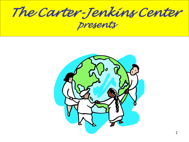*The Carter-Jenkins Center presents*

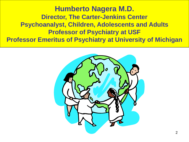#### **Humberto Nagera M.D. Director, The Carter-Jenkins Center Psychoanalyst, Children, Adolescents and Adults Professor of Psychiatry at USF Professor Emeritus of Psychiatry at University of Michigan**

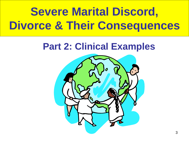# **Severe Marital Discord, Divorce & Their Consequences**

## **Part 2: Clinical Examples**

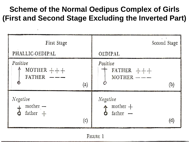#### **Scheme of the Normal Oedipus Complex of Girls (First and Second Stage Excluding the Inverted Part)**

| First Stage                                        | Second Stage                              |
|----------------------------------------------------|-------------------------------------------|
| PHALLIC-OEDIPAL                                    | OEDIPAL                                   |
| Positive<br>MOTHER $++$<br>$FATHER$ $---$<br>(a)   | Positive<br>FATHER $++$<br>$MOTHER$ --    |
| Negative<br>$\text{mother}$ —<br>$father +$<br>(c) | Negative<br>mother $+$<br>father $-$<br>个 |

FIGURE 1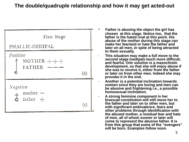#### **The double/quadruple relationship and how it may get acted-out**



- **Father is abusing the object the girl has chosen at this stage. Notice too, that the father is the hated rival at this point. His abuse of the mother during this stage can make her fear/and or hate the father and later on all men, in spite of being attracted to them sexually.**
- **This situation may make a full move to the second stage (oedipal) much more difficult, and fearful. One solution is a masochistic development, so that she will enjoy abuse if she was to receive it, either from the father or later on from other men. Indeed she may provoke it in the end.**
- **Another is a potential inclination towards women since they are loving and men can be abusive and frightening i.e., a possible homosexual inclination.**
- **A strong feminine component in her bisexual constitution will still move her to the father and later on to other men, but with significant ambivalence, fears and other problems through identification with the abused mother, a residual fear and hate of men, all of whom sooner or later will come to represent the abusive father. It is from this group that some of the "avengers" will be born. Examples follow soon.**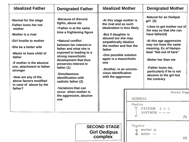| <b>Idealized Father</b>                                                                                                                                                                                                                                                                                                                                                                                                                                                                                                                                                                                                                                                                                                           | <b>Denigrated Father</b>                               |  | <b>Idealized Mother</b><br>-At this stage mother is<br>the rival and as such<br>idealization is less likely<br>-But if daughter is<br>abused too she may<br>empathically idealize<br>the mother and fear the<br>father<br>-One possible solution<br>again is a masochistic<br>one<br>-Another, is an uncons-<br>cious identification<br>with the aggressor |                     | <b>Denigrated Mother</b>                                                                                                                                                                                                                                                                                                                  |
|-----------------------------------------------------------------------------------------------------------------------------------------------------------------------------------------------------------------------------------------------------------------------------------------------------------------------------------------------------------------------------------------------------------------------------------------------------------------------------------------------------------------------------------------------------------------------------------------------------------------------------------------------------------------------------------------------------------------------------------|--------------------------------------------------------|--|------------------------------------------------------------------------------------------------------------------------------------------------------------------------------------------------------------------------------------------------------------------------------------------------------------------------------------------------------------|---------------------|-------------------------------------------------------------------------------------------------------------------------------------------------------------------------------------------------------------------------------------------------------------------------------------------------------------------------------------------|
| -Because of discord,<br>-Normal for the stage<br>fights, abuse etc<br>-Father loves her not<br>-Father is at the same<br>mother<br>time a frightening figure<br>-Mother is a rival<br>-Girl hostile to mother<br>-Natural conflict<br>between her interest in<br>-She be a better wife<br>father and what she is<br>exposed to leading to a<br>-Wants to have child of<br>strong masochistic<br>father<br>development that thus<br>-If mother is the abusive<br>preserves interest in<br>one, attachment to father<br>father (1)<br>stronger<br>-Simultaneous<br>-How are any of the<br><b>identification with</b><br>above factors modified<br>sadistic father (2)<br>in case of abuse by the<br>-Variations that can<br>father? |                                                        |  |                                                                                                                                                                                                                                                                                                                                                            |                     | -Natural for an Oedipal<br>girl(3)<br>-Likes to get mother out of<br>the way so that she can<br>have father(4)<br>-At this age aggression<br>may not have the same<br>meaning. Ex of Hamps-<br>tead "Get out of here"<br>-Better her than me<br>-Father loves me,<br>particularly if he is not<br>abusive to the girl but<br>the contrary |
|                                                                                                                                                                                                                                                                                                                                                                                                                                                                                                                                                                                                                                                                                                                                   | occur when mother is<br>the aggressive, abusive<br>one |  |                                                                                                                                                                                                                                                                                                                                                            | OEDIPAL<br>Positive | Second Stage<br>FATHER $++$<br>$MOTHER$ $---$                                                                                                                                                                                                                                                                                             |
|                                                                                                                                                                                                                                                                                                                                                                                                                                                                                                                                                                                                                                                                                                                                   |                                                        |  | <b>SECOND STAGE</b><br><b>Girl Oedipus</b><br>complex                                                                                                                                                                                                                                                                                                      | Negative            | (b)<br>$\sim$ mother $+$<br>father -<br>(d)                                                                                                                                                                                                                                                                                               |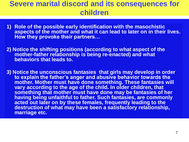#### **Severe marital discord and its consequences for children**

- **1) Role of the possible early identification with the masochistic aspects of the mother and what it can lead to later on in their lives. How they provoke their partners…**
- **2) Notice the shifting positions (according to what aspect of the mother-father relationship is being re-enacted) and what behaviors that leads to.**
- **3) Notice the unconscious fantasies that girls may develop in order to explain the father's anger and abusive behavior towards the mother. Mother must have done something. These fantasies will vary according to the age of the child. In older children, that something that mother must have done may be fantasies of her having being unfaithful to father. Such fantasies, are commonly acted out later on by these females, frequently leading to the destruction of what may have been a satisfactory relationship, marriage etc.**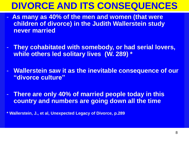## **DIVORCE AND ITS CONSEQUENCES**

- **As many as 40% of the men and women (that were children of divorce) in the Judith Wallerstein study never married**
- **They cohabitated with somebody, or had serial lovers, while others led solitary lives (W. 289) \***
- **Wallerstein saw it as the inevitable consequence of our "divorce culture"**
- **There are only 40% of married people today in this country and numbers are going down all the time**

**\* Wallerstein, J., et al, Unexpected Legacy of Divorce, p.289**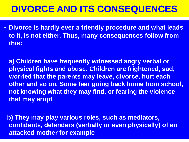## **DIVORCE AND ITS CONSEQUENCES**

**- Divorce is hardly ever a friendly procedure and what leads to it, is not either. Thus, many consequences follow from this:**

**a) Children have frequently witnessed angry verbal or physical fights and abuse. Children are frightened, sad, worried that the parents may leave, divorce, hurt each other and so on. Some fear going back home from school, not knowing what they may find, or fearing the violence that may erupt**

**b) They may play various roles, such as mediators, confidants, defenders (verbally or even physically) of an attacked mother for example**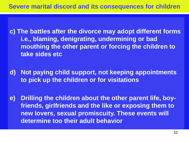**c) The battles after the divorce may adopt different forms i.e., blaming, denigrating, undermining or bad mouthing the other parent or forcing the children to take sides etc**

**d) Not paying child support, not keeping appointments to pick up the children or for visitations**

**e) Drilling the children about the other parent life, boyfriends, girlfriends and the like or exposing them to new lovers, sexual promiscuity. These events will determine too their adult behavior**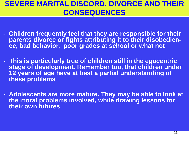#### **SEVERE MARITAL DISCORD, DIVORCE AND THEIR CONSEQUENCES**

- **- Children frequently feel that they are responsible for their parents divorce or fights attributing it to their disobedience, bad behavior, poor grades at school or what not**
- **- This is particularly true of children still in the egocentric stage of development. Remember too, that children under 12 years of age have at best a partial understanding of these problems**
- **- Adolescents are more mature. They may be able to look at the moral problems involved, while drawing lessons for their own futures**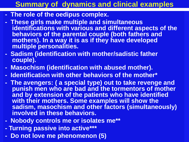#### **Summary of dynamics and clinical examples**

- **- The role of the oedipus complex.**
- **- These girls make multiple and simultaneous identifications with various and different aspects of the behaviors of the parental couple (both fathers and mothers). In a way it is as if they have developed multiple personalities.**
- **- Sadism (identification with mother/sadistic father couple).**
- **- Masochism (identification with abused mother).**
- **- Identification with other behaviors of the mother\***
- **- The avengers: ( a special type) out to take revenge and punish men who are bad and the tormentors of mother and by extension of the patients who have identified with their mothers. Some examples will show the sadism, masochism and other factors (simultaneously) involved in these behaviors.**
- **- Nobody controls me or isolates me\*\***
- **- Turning passive into active\*\*\***
- **- Do not love me phenomenon (5)**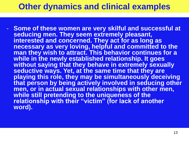- **Some of these women are very skilful and successful at seducing men. They seem extremely pleasant, interested and concerned. They act for as long as necessary as very loving, helpful and committed to the man they wish to attract. This behavior continues for a while in the newly established relationship. It goes without saying that they behave in extremely sexually seductive ways. Yet, at the same time that they are playing this role, they may be simultaneously deceiving that person by being actively involved in seducing other men, or in actual sexual relationships with other men, while still pretending to the uniqueness of the relationship with their "victim" (for lack of another word).**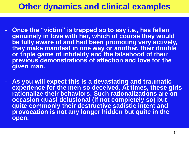- **Conce the "victim" is trapped so to say i.e., has fallen genuinely in love with her, which of course they would be fully aware of and had been promoting very actively, they make manifest in one way or another, their double or triple game of infidelity and the falsehood of their previous demonstrations of affection and love for the given man.**
- **As you will expect this is a devastating and traumatic experience for the men so deceived. At times, these girls rationalize their behaviors. Such rationalizations are on occasion quasi delusional (if not completely so) but quite commonly their destructive sadistic intent and provocation is not any longer hidden but quite in the open.**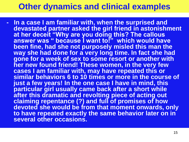**- In a case I am familiar with, when the surprised and devastated partner asked the girl friend in astonishment at her deceit "Why are you doing this? The callous answer was " because I want to!" which would have been fine, had she not purposely misled this man the way she had done for a very long time. In fact she had gone for a week of sex to some resort or another with her new found friend! These women, in the very few cases I am familiar with, may have repeated this or similar behaviors 6 to 10 times or more in the course of just a few years! In the one case I have in mind, this particular girl usually came back after a short while after this dramatic and revolting piece of acting out claiming repentance (?) and full of promises of how devoted she would be from that moment onwards, only to have repeated exactly the same behavior later on in several other occasions.**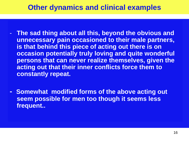- **The sad thing about all this, beyond the obvious and unnecessary pain occasioned to their male partners, is that behind this piece of acting out there is on occasion potentially truly loving and quite wonderful persons that can never realize themselves, given the acting out that their inner conflicts force them to constantly repeat.**
- **- Somewhat modified forms of the above acting out seem possible for men too though it seems less frequent..**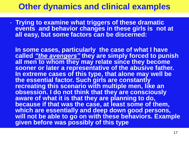- **Trying to examine what triggers of these dramatic events and behavior changes in these girls is not at all easy, but some factors can be discerned:**

**In some cases, particularly the case of what I have called** *"the avengers"* **they are simply forced to punish all men to whom they may relate since they become sooner or later a representative of the abusive father. In extreme cases of this type, that alone may well be the essential factor. Such girls are constantly recreating this scenario with multiple men, like an obsession. I do not think that they are consciously aware of what it is that they are planning to do, because if that was the case, at least some of them, which are essentially and deep down good persons,**  will not be able to go on with these behaviors. Example **given before was possibly of this type**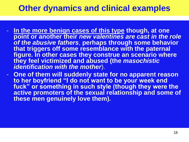- **In the more benign cases of this type though, at one point or another their** *new valentines are cast in the role of the abusive fathers*, **perhaps through some behavior that triggers off some resemblance with the paternal figure. In other cases they construe an scenario where they feel victimized and abused (the** *masochistic identification with the mother*).
- **One of them will suddenly state for no apparent reason to her boyfriend "I do not want to be your week end**  fuck" or something in such style (though they were the **active promoters of the sexual relationship and some of these men genuinely love them).**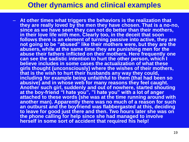– **At other times what triggers the behaviors is the realization that they are really loved by the men they have chosen. That is a no-no, since as we have seen they can not do better than their mothers, in their love life with men. Clearly too, in the deceit that soon follows there is an element of turning passive into active, they are not going to be "abused" like their mothers were, but they are the abusers, while at the same time they are punishing men for the abuse their fathers inflicted on their mothers. Here frequently one can see the sadistic intention to hurt the other person, which I believe includes in some cases the actualization of what these girls thought (unconsciously) where the wishes of their mothers, that is the wish to hurt their husbands any way they could, including for example being unfaithful to them (that had been so abusive) and in whose web for many reasons they feel caught. Another such girl, suddenly and out of nowhere, started shouting at the boy-friend "I hate you", "I hate you" with a lot of anger attached to these words (she was at the time running around with another man). Apparently there was no much of a reason for such an outburst and the boyfriend was flabbergasted at this, deciding to leave for good just there and then. Two hours later she was on the phone calling for help since she had managed to involve herself in some sort of accident that required his help!**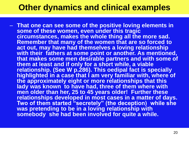– **That one can see some of the positive loving elements in some of these women, even under this tragic circumstances, makes the whole thing all the more sad. Remember that many of the women that are so forced to act out, may have had themselves a loving relationship with their fathers at some point or another. As mentioned, that makes some men desirable partners and with some of them at least and if only for a short while, a viable relationship. (See W p.286). This oedipal fact is specially highlighted in a case that I am very familiar with, where of the approximately eight or more relationships that this**  lady was known to have had, three of them where with **men older than her, 25 to 45 years older! Further these relationships developed in most cases in a matter of days. Two of them started "secretely" (the deception) while she**  was pretending to be in a loving relationship with somebody she had been involved for quite a while.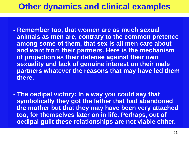- **- Remember too, that women are as much sexual animals as men are, contrary to the common pretence among some of them, that sex is all men care about and want from their partners. Here is the mechanism of projection as their defense against their own sexuality and lack of genuine interest on their male partners whatever the reasons that may have led them there.**
- **- The oedipal victory: In a way you could say that symbolically they got the father that had abandoned the mother but that they may have been very attached too, for themselves later on in life. Perhaps, out of oedipal guilt these relationships are not viable either.**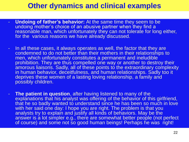- **Undoing of father's behavior:** At the same time they seem to be undoing mother's choice of an abusive partner when they find a reasonable man, which unfortunately they can not tolerate for long either, for the various reasons we have already discussed.
- In all these cases, it always operates as well, the factor that they are condemned to do not better than their mothers in their relationships to men, which unfortunately constitutes a permanent and ineludible prohibition. They are thus compelled one way or another to destroy their amorous liaisons. Sadly, all of these points to the extraordinary complexity in human behavior, deceitfulness, and human relationships. Sadly too it deprives these women of a lasting loving relationship, a family and possibly children.
- **The patient in question**, after having listened to many of the explanations that his analyst was offering of the behavior of this girlfriend, that he so badly wanted to understand since he has been so much in love with her said one day: I hope you are right. The problem is that you analysts try to explain and justify all kinds of behaviors. May be the answer is a lot simpler e.g., there are somewhat better people (not perfect of course) and some not so good human beings! Perhaps he was right!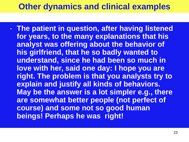- **The patient in question, after having listened for years, to the many explanations that his analyst was offering about the behavior of his girlfriend, that he so badly wanted to understand, since he had been so much in love with her, said one day: I hope you are right. The problem is that you analysts try to explain and justify all kinds of behaviors. May be the answer is a lot simpler e.g., there are somewhat better people (not perfect of course) and some not so good human beings! Perhaps he was right!**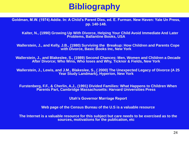## **Bibliography**

**Goldman, M.W. (1974) Addie. In: A Child's Parent Dies, ed. E. Furman. New Haven: Yale Un Press, pp. 140-148.**

**Kalter, N., (1990) Growing Up With Divorce, Helping Your Child Avoid Immediate And Later Problems, Ballantine Books, USA**

**Wallerstein, J., and Kelly, J.B., (1980) Surviving the Breakup: How Children and Parents Cope with Divorce, Basic Books Inc, New York**

**Wallerstein, J., and Blakeslee, S., (1989) Second Chances: Men, Women and Children a Decade After Divorce; Who Wins, Who loses and Why, Ticknor & Fields, New York**

**Wallerstein, J., Lewis, and J.M., Blakeslee, S., ( 2000) The Unexpected Legacy of Divorce (A 25 Year Study Landmark), Hyperion, New York**

**Furstenberg, F.F., & Cherlin, A.J., (1991) Divided Families: What Happens to Children When Parents Part, Cambridge Massachusetts: Harvard Universities Press**

**Utah's Governor Marriage Report**

**Web page of the Census Bureau of the U.S is a valuable resource**

**The Internet is a valuable resource for this subject but care needs to be exercised as to the sources, motivations for the publication, etc**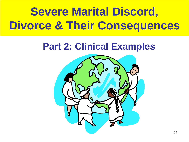# **Severe Marital Discord, Divorce & Their Consequences**

## **Part 2: Clinical Examples**

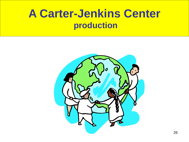## **A Carter-Jenkins Center production**